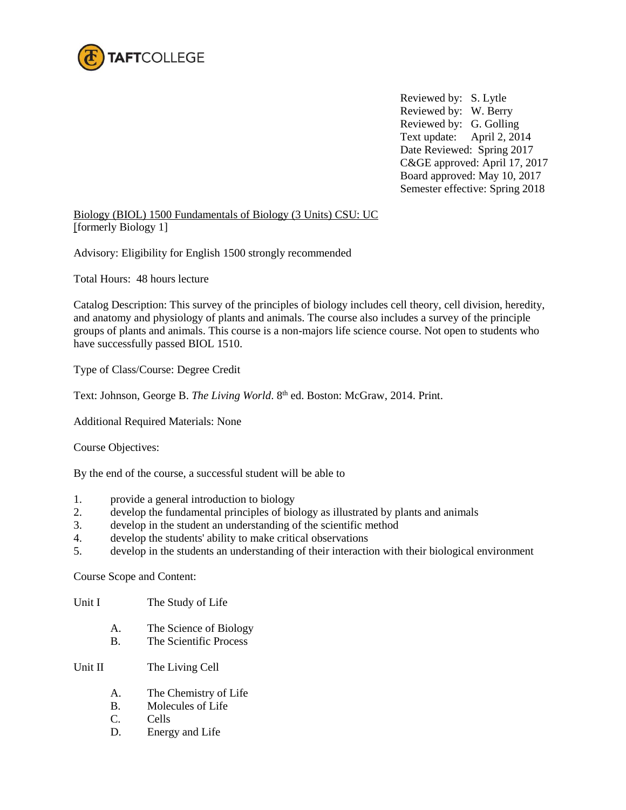

Reviewed by: S. Lytle Reviewed by: W. Berry Reviewed by: G. Golling Text update: April 2, 2014 Date Reviewed: Spring 2017 C&GE approved: April 17, 2017 Board approved: May 10, 2017 Semester effective: Spring 2018

Biology (BIOL) 1500 Fundamentals of Biology (3 Units) CSU: UC [formerly Biology 1]

Advisory: Eligibility for English 1500 strongly recommended

Total Hours: 48 hours lecture

Catalog Description: This survey of the principles of biology includes cell theory, cell division, heredity, and anatomy and physiology of plants and animals. The course also includes a survey of the principle groups of plants and animals. This course is a non-majors life science course. Not open to students who have successfully passed BIOL 1510.

Type of Class/Course: Degree Credit

Text: Johnson, George B. The Living World. 8th ed. Boston: McGraw, 2014. Print.

Additional Required Materials: None

Course Objectives:

By the end of the course, a successful student will be able to

- 1. provide a general introduction to biology
- 2. develop the fundamental principles of biology as illustrated by plants and animals
- 3. develop in the student an understanding of the scientific method
- 4. develop the students' ability to make critical observations
- 5. develop in the students an understanding of their interaction with their biological environment

Course Scope and Content:

Unit I The Study of Life

- A. The Science of Biology
- B. The Scientific Process

Unit II The Living Cell

- A. The Chemistry of Life
- B. Molecules of Life
- C. Cells
- D. Energy and Life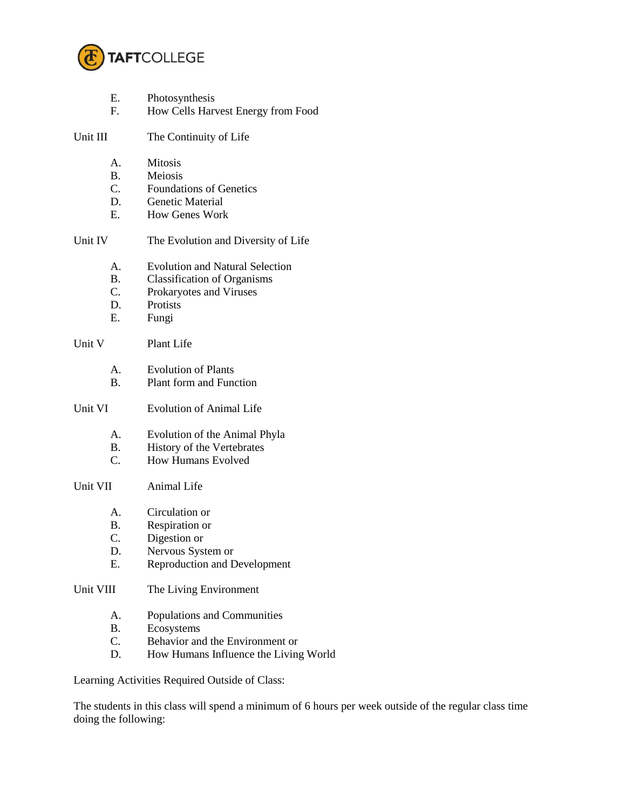

| Е. | Photosynthesis |
|----|----------------|
|----|----------------|

F. How Cells Harvest Energy from Food

Unit III The Continuity of Life

- A. Mitosis
- B. Meiosis
- C. Foundations of Genetics
- D. Genetic Material
- E. How Genes Work

## Unit IV The Evolution and Diversity of Life

- A. Evolution and Natural Selection
	- B. Classification of Organisms
	- C. Prokaryotes and Viruses
- D. Protists
- E. Fungi

## Unit V Plant Life

- A. Evolution of Plants
- B. Plant form and Function
- Unit VI Evolution of Animal Life
	- A. Evolution of the Animal Phyla
	- B. History of the Vertebrates
	- C. How Humans Evolved

## Unit VII Animal Life

- A. Circulation or
- B. Respiration or
- C. Digestion or
- D. Nervous System or
- E. Reproduction and Development

## Unit VIII The Living Environment

- A. Populations and Communities
- B. Ecosystems<br>C. Behavior and
- Behavior and the Environment or
- D. How Humans Influence the Living World

Learning Activities Required Outside of Class:

The students in this class will spend a minimum of 6 hours per week outside of the regular class time doing the following: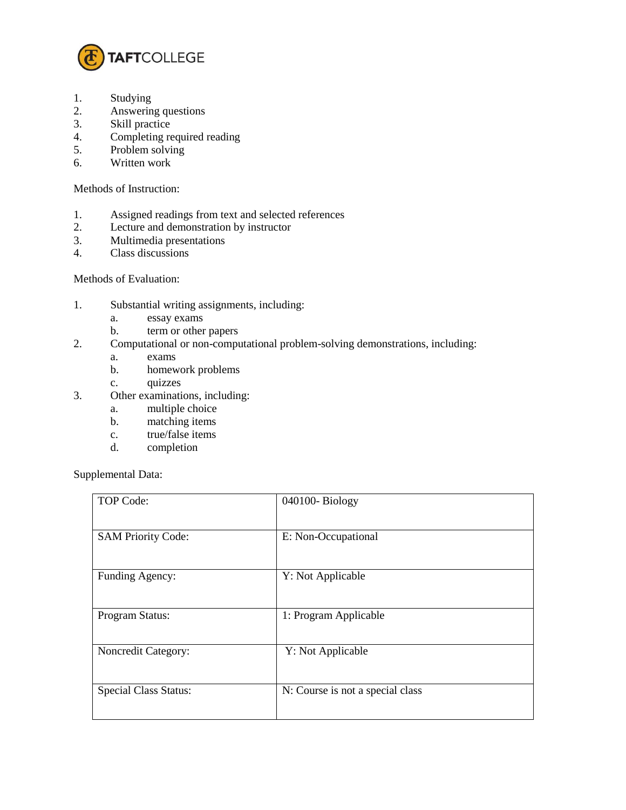

- 1. Studying
- 2. Answering questions
- 3. Skill practice
- 4. Completing required reading
- 5. Problem solving
- 6. Written work

Methods of Instruction:

- 1. Assigned readings from text and selected references
- 2. Lecture and demonstration by instructor
- 3. Multimedia presentations<br>4. Class discussions
- Class discussions

Methods of Evaluation:

- 1. Substantial writing assignments, including:
	- a. essay exams
	- b. term or other papers
- 2. Computational or non-computational problem-solving demonstrations, including:
	- a. exams
	- b. homework problems
	- c. quizzes
- 3. Other examinations, including:
	- a. multiple choice
	- b. matching items
	- c. true/false items
	- d. completion

Supplemental Data:

| TOP Code:                    | 040100-Biology                   |
|------------------------------|----------------------------------|
| <b>SAM Priority Code:</b>    | E: Non-Occupational              |
| Funding Agency:              | Y: Not Applicable                |
| Program Status:              | 1: Program Applicable            |
| Noncredit Category:          | Y: Not Applicable                |
| <b>Special Class Status:</b> | N: Course is not a special class |